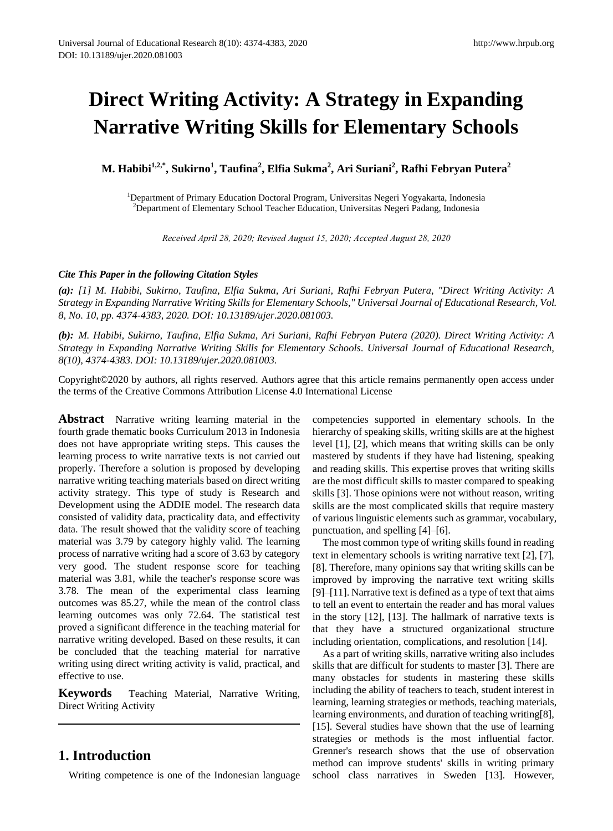# **Direct Writing Activity: A Strategy in Expanding Narrative Writing Skills for Elementary Schools**

**M. Habibi1,2,\*, Sukirno<sup>1</sup> , Taufina<sup>2</sup> , Elfia Sukma<sup>2</sup> , Ari Suriani<sup>2</sup> , Rafhi Febryan Putera<sup>2</sup>**

<sup>1</sup>Department of Primary Education Doctoral Program, Universitas Negeri Yogyakarta, Indonesia <sup>2</sup>Department of Elementary School Teacher Education, Universitas Negeri Padang, Indonesia

*Received April 28, 2020; Revised August 15, 2020; Accepted August 28, 2020* 

## *Cite This Paper in the following Citation Styles*

*(a): [1] M. Habibi, Sukirno, Taufina, Elfia Sukma, Ari Suriani, Rafhi Febryan Putera, "Direct Writing Activity: A Strategy in Expanding Narrative Writing Skills for Elementary Schools," Universal Journal of Educational Research, Vol. 8, No. 10, pp. 4374-4383, 2020. DOI: 10.13189/ujer.2020.081003.* 

*(b): M. Habibi, Sukirno, Taufina, Elfia Sukma, Ari Suriani, Rafhi Febryan Putera (2020). Direct Writing Activity: A Strategy in Expanding Narrative Writing Skills for Elementary Schools. Universal Journal of Educational Research, 8(10), 4374-4383. DOI: 10.13189/ujer.2020.081003.* 

Copyright©2020 by authors, all rights reserved. Authors agree that this article remains permanently open access under the terms of the Creative Commons Attribution License 4.0 International License

**Abstract** Narrative writing learning material in the fourth grade thematic books Curriculum 2013 in Indonesia does not have appropriate writing steps. This causes the learning process to write narrative texts is not carried out properly. Therefore a solution is proposed by developing narrative writing teaching materials based on direct writing activity strategy. This type of study is Research and Development using the ADDIE model. The research data consisted of validity data, practicality data, and effectivity data. The result showed that the validity score of teaching material was 3.79 by category highly valid. The learning process of narrative writing had a score of 3.63 by category very good. The student response score for teaching material was 3.81, while the teacher's response score was 3.78. The mean of the experimental class learning outcomes was 85.27, while the mean of the control class learning outcomes was only 72.64. The statistical test proved a significant difference in the teaching material for narrative writing developed. Based on these results, it can be concluded that the teaching material for narrative writing using direct writing activity is valid, practical, and effective to use.

**Keywords** Teaching Material, Narrative Writing, Direct Writing Activity

## **1. Introduction**

Writing competence is one of the Indonesian language

competencies supported in elementary schools. In the hierarchy of speaking skills, writing skills are at the highest level [1], [2], which means that writing skills can be only mastered by students if they have had listening, speaking and reading skills. This expertise proves that writing skills are the most difficult skills to master compared to speaking skills [3]. Those opinions were not without reason, writing skills are the most complicated skills that require mastery of various linguistic elements such as grammar, vocabulary, punctuation, and spelling [4]–[6].

The most common type of writing skills found in reading text in elementary schools is writing narrative text [2], [7], [8]. Therefore, many opinions say that writing skills can be improved by improving the narrative text writing skills [9]–[11]. Narrative text is defined as a type of text that aims to tell an event to entertain the reader and has moral values in the story [12], [13]. The hallmark of narrative texts is that they have a structured organizational structure including orientation, complications, and resolution [14].

As a part of writing skills, narrative writing also includes skills that are difficult for students to master [3]. There are many obstacles for students in mastering these skills including the ability of teachers to teach, student interest in learning, learning strategies or methods, teaching materials, learning environments, and duration of teaching writing[8], [15]. Several studies have shown that the use of learning strategies or methods is the most influential factor. Grenner's research shows that the use of observation method can improve students' skills in writing primary school class narratives in Sweden [13]. However,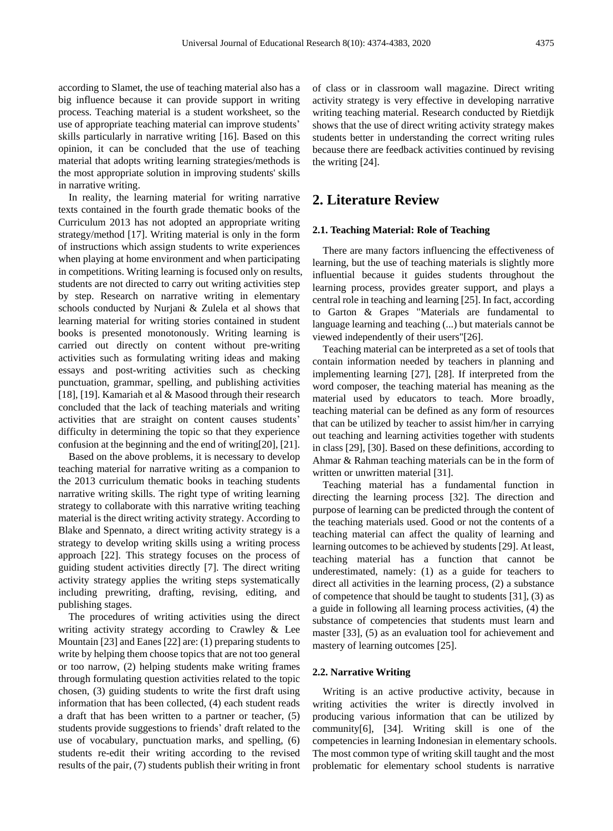according to Slamet, the use of teaching material also has a big influence because it can provide support in writing process. Teaching material is a student worksheet, so the use of appropriate teaching material can improve students' skills particularly in narrative writing [16]. Based on this opinion, it can be concluded that the use of teaching material that adopts writing learning strategies/methods is the most appropriate solution in improving students' skills in narrative writing.

In reality, the learning material for writing narrative texts contained in the fourth grade thematic books of the Curriculum 2013 has not adopted an appropriate writing strategy/method [17]. Writing material is only in the form of instructions which assign students to write experiences when playing at home environment and when participating in competitions. Writing learning is focused only on results, students are not directed to carry out writing activities step by step. Research on narrative writing in elementary schools conducted by Nurjani & Zulela et al shows that learning material for writing stories contained in student books is presented monotonously. Writing learning is carried out directly on content without pre-writing activities such as formulating writing ideas and making essays and post-writing activities such as checking punctuation, grammar, spelling, and publishing activities [18], [19]. Kamariah et al & Masood through their research concluded that the lack of teaching materials and writing activities that are straight on content causes students' difficulty in determining the topic so that they experience confusion at the beginning and the end of writing[20], [21].

Based on the above problems, it is necessary to develop teaching material for narrative writing as a companion to the 2013 curriculum thematic books in teaching students narrative writing skills. The right type of writing learning strategy to collaborate with this narrative writing teaching material is the direct writing activity strategy. According to Blake and Spennato, a direct writing activity strategy is a strategy to develop writing skills using a writing process approach [22]. This strategy focuses on the process of guiding student activities directly [7]. The direct writing activity strategy applies the writing steps systematically including prewriting, drafting, revising, editing, and publishing stages.

The procedures of writing activities using the direct writing activity strategy according to Crawley & Lee Mountain [23] and Eanes [22] are: (1) preparing students to write by helping them choose topics that are not too general or too narrow, (2) helping students make writing frames through formulating question activities related to the topic chosen, (3) guiding students to write the first draft using information that has been collected, (4) each student reads a draft that has been written to a partner or teacher, (5) students provide suggestions to friends' draft related to the use of vocabulary, punctuation marks, and spelling, (6) students re-edit their writing according to the revised results of the pair, (7) students publish their writing in front of class or in classroom wall magazine. Direct writing activity strategy is very effective in developing narrative writing teaching material. Research conducted by Rietdijk shows that the use of direct writing activity strategy makes students better in understanding the correct writing rules because there are feedback activities continued by revising the writing [24].

## **2. Literature Review**

## **2.1. Teaching Material: Role of Teaching**

There are many factors influencing the effectiveness of learning, but the use of teaching materials is slightly more influential because it guides students throughout the learning process, provides greater support, and plays a central role in teaching and learning [25]. In fact, according to Garton & Grapes "Materials are fundamental to language learning and teaching (...) but materials cannot be viewed independently of their users"[26].

Teaching material can be interpreted as a set of tools that contain information needed by teachers in planning and implementing learning [27], [28]. If interpreted from the word composer, the teaching material has meaning as the material used by educators to teach. More broadly, teaching material can be defined as any form of resources that can be utilized by teacher to assist him/her in carrying out teaching and learning activities together with students in class [29], [30]. Based on these definitions, according to Ahmar & Rahman teaching materials can be in the form of written or unwritten material [31].

Teaching material has a fundamental function in directing the learning process [32]. The direction and purpose of learning can be predicted through the content of the teaching materials used. Good or not the contents of a teaching material can affect the quality of learning and learning outcomes to be achieved by students [29]. At least, teaching material has a function that cannot be underestimated, namely: (1) as a guide for teachers to direct all activities in the learning process, (2) a substance of competence that should be taught to students [31], (3) as a guide in following all learning process activities, (4) the substance of competencies that students must learn and master [33], (5) as an evaluation tool for achievement and mastery of learning outcomes [25].

#### **2.2. Narrative Writing**

Writing is an active productive activity, because in writing activities the writer is directly involved in producing various information that can be utilized by community[6], [34]. Writing skill is one of the competencies in learning Indonesian in elementary schools. The most common type of writing skill taught and the most problematic for elementary school students is narrative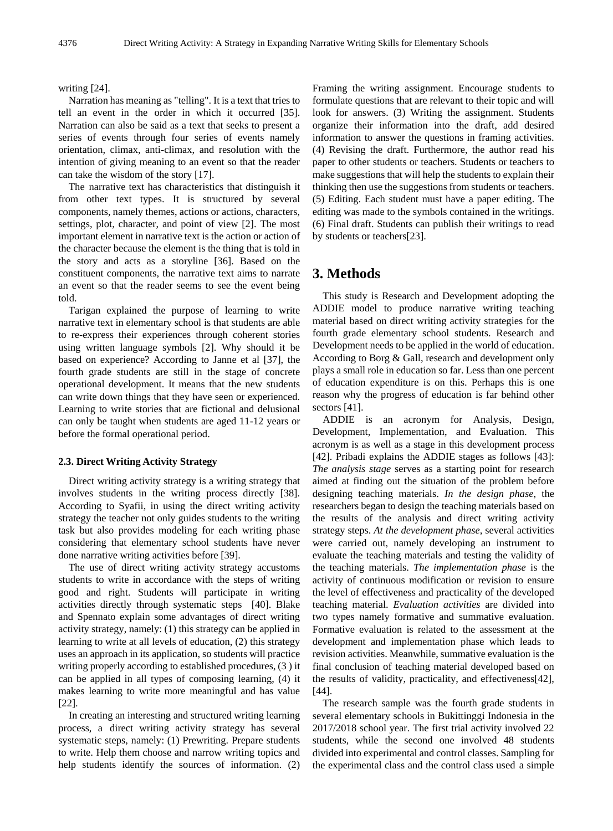#### writing [24].

Narration has meaning as "telling". It is a text that tries to tell an event in the order in which it occurred [35]. Narration can also be said as a text that seeks to present a series of events through four series of events namely orientation, climax, anti-climax, and resolution with the intention of giving meaning to an event so that the reader can take the wisdom of the story [17].

The narrative text has characteristics that distinguish it from other text types. It is structured by several components, namely themes, actions or actions, characters, settings, plot, character, and point of view [2]. The most important element in narrative text is the action or action of the character because the element is the thing that is told in the story and acts as a storyline [36]. Based on the constituent components, the narrative text aims to narrate an event so that the reader seems to see the event being told.

Tarigan explained the purpose of learning to write narrative text in elementary school is that students are able to re-express their experiences through coherent stories using written language symbols [2]. Why should it be based on experience? According to Janne et al [37], the fourth grade students are still in the stage of concrete operational development. It means that the new students can write down things that they have seen or experienced. Learning to write stories that are fictional and delusional can only be taught when students are aged 11-12 years or before the formal operational period.

## **2.3. Direct Writing Activity Strategy**

Direct writing activity strategy is a writing strategy that involves students in the writing process directly [38]. According to Syafii, in using the direct writing activity strategy the teacher not only guides students to the writing task but also provides modeling for each writing phase considering that elementary school students have never done narrative writing activities before [39].

The use of direct writing activity strategy accustoms students to write in accordance with the steps of writing good and right. Students will participate in writing activities directly through systematic steps [40]. Blake and Spennato explain some advantages of direct writing activity strategy, namely: (1) this strategy can be applied in learning to write at all levels of education, (2) this strategy uses an approach in its application, so students will practice writing properly according to established procedures, (3 ) it can be applied in all types of composing learning, (4) it makes learning to write more meaningful and has value [22].

In creating an interesting and structured writing learning process, a direct writing activity strategy has several systematic steps, namely: (1) Prewriting. Prepare students to write. Help them choose and narrow writing topics and help students identify the sources of information. (2)

Framing the writing assignment. Encourage students to formulate questions that are relevant to their topic and will look for answers. (3) Writing the assignment. Students organize their information into the draft, add desired information to answer the questions in framing activities. (4) Revising the draft. Furthermore, the author read his paper to other students or teachers. Students or teachers to make suggestions that will help the students to explain their thinking then use the suggestions from students or teachers. (5) Editing. Each student must have a paper editing. The editing was made to the symbols contained in the writings. (6) Final draft. Students can publish their writings to read by students or teachers[23].

## **3. Methods**

This study is Research and Development adopting the ADDIE model to produce narrative writing teaching material based on direct writing activity strategies for the fourth grade elementary school students. Research and Development needs to be applied in the world of education. According to Borg & Gall, research and development only plays a small role in education so far. Less than one percent of education expenditure is on this. Perhaps this is one reason why the progress of education is far behind other sectors [41].

ADDIE is an acronym for Analysis, Design, Development, Implementation, and Evaluation. This acronym is as well as a stage in this development process [42]. Pribadi explains the ADDIE stages as follows [43]: *The analysis stage* serves as a starting point for research aimed at finding out the situation of the problem before designing teaching materials. *In the design phase*, the researchers began to design the teaching materials based on the results of the analysis and direct writing activity strategy steps. *At the development phase*, several activities were carried out, namely developing an instrument to evaluate the teaching materials and testing the validity of the teaching materials. *The implementation phase* is the activity of continuous modification or revision to ensure the level of effectiveness and practicality of the developed teaching material. *Evaluation activities* are divided into two types namely formative and summative evaluation. Formative evaluation is related to the assessment at the development and implementation phase which leads to revision activities. Meanwhile, summative evaluation is the final conclusion of teaching material developed based on the results of validity, practicality, and effectiveness[42], [44].

The research sample was the fourth grade students in several elementary schools in Bukittinggi Indonesia in the 2017/2018 school year. The first trial activity involved 22 students, while the second one involved 48 students divided into experimental and control classes. Sampling for the experimental class and the control class used a simple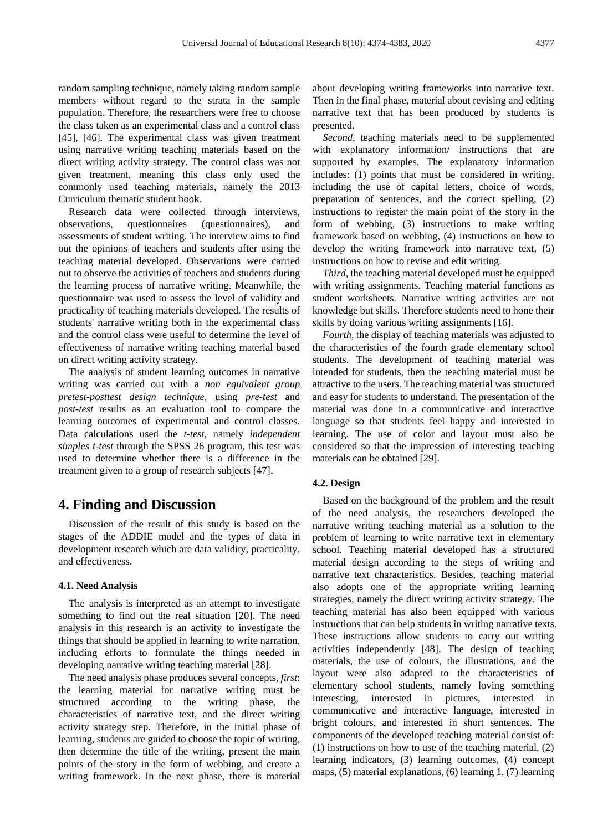random sampling technique, namely taking random sample members without regard to the strata in the sample population. Therefore, the researchers were free to choose the class taken as an experimental class and a control class [45], [46]. The experimental class was given treatment using narrative writing teaching materials based on the direct writing activity strategy. The control class was not given treatment, meaning this class only used the commonly used teaching materials, namely the 2013 Curriculum thematic student book.

Research data were collected through interviews, observations, questionnaires (questionnaires), and assessments of student writing. The interview aims to find out the opinions of teachers and students after using the teaching material developed. Observations were carried out to observe the activities of teachers and students during the learning process of narrative writing. Meanwhile, the questionnaire was used to assess the level of validity and practicality of teaching materials developed. The results of students' narrative writing both in the experimental class and the control class were useful to determine the level of effectiveness of narrative writing teaching material based on direct writing activity strategy.

The analysis of student learning outcomes in narrative writing was carried out with a *non equivalent group pretest-posttest design technique*, using *pre-test* and *post-test* results as an evaluation tool to compare the learning outcomes of experimental and control classes. Data calculations used the *t-test*, namely *independent simples t-test* through the SPSS 26 program, this test was used to determine whether there is a difference in the treatment given to a group of research subjects [47].

## **4. Finding and Discussion**

Discussion of the result of this study is based on the stages of the ADDIE model and the types of data in development research which are data validity, practicality, and effectiveness.

#### **4.1. Need Analysis**

The analysis is interpreted as an attempt to investigate something to find out the real situation [20]. The need analysis in this research is an activity to investigate the things that should be applied in learning to write narration, including efforts to formulate the things needed in developing narrative writing teaching material [28].

The need analysis phase produces several concepts, *first*: the learning material for narrative writing must be structured according to the writing phase, the characteristics of narrative text, and the direct writing activity strategy step. Therefore, in the initial phase of learning, students are guided to choose the topic of writing, then determine the title of the writing, present the main points of the story in the form of webbing, and create a writing framework. In the next phase, there is material

about developing writing frameworks into narrative text. Then in the final phase, material about revising and editing narrative text that has been produced by students is presented.

*Second*, teaching materials need to be supplemented with explanatory information/ instructions that are supported by examples. The explanatory information includes: (1) points that must be considered in writing, including the use of capital letters, choice of words, preparation of sentences, and the correct spelling, (2) instructions to register the main point of the story in the form of webbing, (3) instructions to make writing framework based on webbing, (4) instructions on how to develop the writing framework into narrative text, (5) instructions on how to revise and edit writing.

*Third*, the teaching material developed must be equipped with writing assignments. Teaching material functions as student worksheets. Narrative writing activities are not knowledge but skills. Therefore students need to hone their skills by doing various writing assignments [16].

*Fourth*, the display of teaching materials was adjusted to the characteristics of the fourth grade elementary school students. The development of teaching material was intended for students, then the teaching material must be attractive to the users. The teaching material was structured and easy for students to understand. The presentation of the material was done in a communicative and interactive language so that students feel happy and interested in learning. The use of color and layout must also be considered so that the impression of interesting teaching materials can be obtained [29].

### **4.2. Design**

Based on the background of the problem and the result of the need analysis, the researchers developed the narrative writing teaching material as a solution to the problem of learning to write narrative text in elementary school. Teaching material developed has a structured material design according to the steps of writing and narrative text characteristics. Besides, teaching material also adopts one of the appropriate writing learning strategies, namely the direct writing activity strategy. The teaching material has also been equipped with various instructions that can help students in writing narrative texts. These instructions allow students to carry out writing activities independently [48]. The design of teaching materials, the use of colours, the illustrations, and the layout were also adapted to the characteristics of elementary school students, namely loving something interesting, interested in pictures, interested in communicative and interactive language, interested in bright colours, and interested in short sentences. The components of the developed teaching material consist of: (1) instructions on how to use of the teaching material, (2) learning indicators, (3) learning outcomes, (4) concept maps, (5) material explanations, (6) learning 1, (7) learning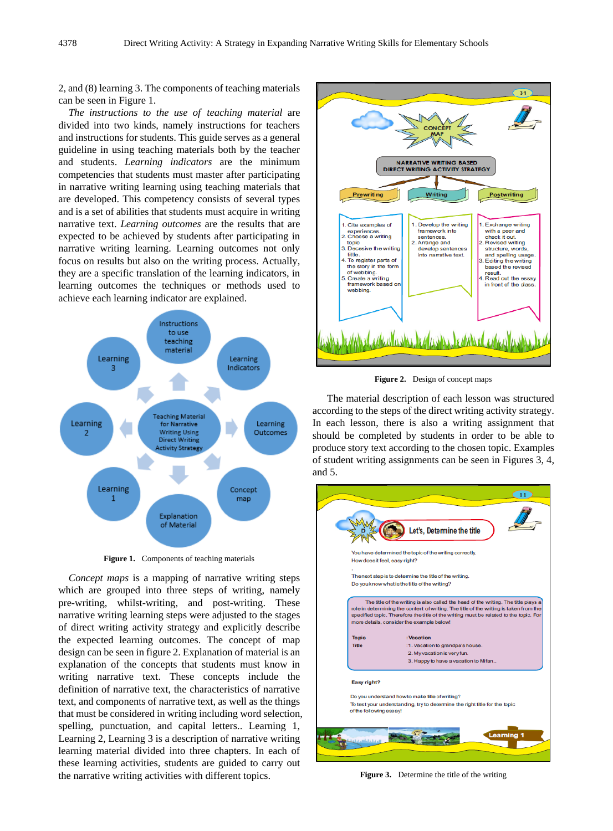2, and (8) learning 3. The components of teaching materials can be seen in Figure 1.

*The instructions to the use of teaching material* are divided into two kinds, namely instructions for teachers and instructions for students. This guide serves as a general guideline in using teaching materials both by the teacher and students. *Learning indicators* are the minimum competencies that students must master after participating in narrative writing learning using teaching materials that are developed. This competency consists of several types and is a set of abilities that students must acquire in writing narrative text. *Learning outcomes* are the results that are expected to be achieved by students after participating in narrative writing learning. Learning outcomes not only focus on results but also on the writing process. Actually, they are a specific translation of the learning indicators, in learning outcomes the techniques or methods used to achieve each learning indicator are explained.



**Figure 1.** Components of teaching materials

*Concept maps* is a mapping of narrative writing steps which are grouped into three steps of writing, namely pre-writing, whilst-writing, and post-writing. These narrative writing learning steps were adjusted to the stages of direct writing activity strategy and explicitly describe the expected learning outcomes. The concept of map design can be seen in figure 2. Explanation of material is an explanation of the concepts that students must know in writing narrative text. These concepts include the definition of narrative text, the characteristics of narrative text, and components of narrative text, as well as the things that must be considered in writing including word selection, spelling, punctuation, and capital letters.. Learning 1, Learning 2, Learning 3 is a description of narrative writing learning material divided into three chapters. In each of these learning activities, students are guided to carry out the narrative writing activities with different topics.



**Figure 2.** Design of concept maps

The material description of each lesson was structured according to the steps of the direct writing activity strategy. In each lesson, there is also a writing assignment that should be completed by students in order to be able to produce story text according to the chosen topic. Examples of student writing assignments can be seen in Figures 3, 4, and 5.



**Figure 3.** Determine the title of the writing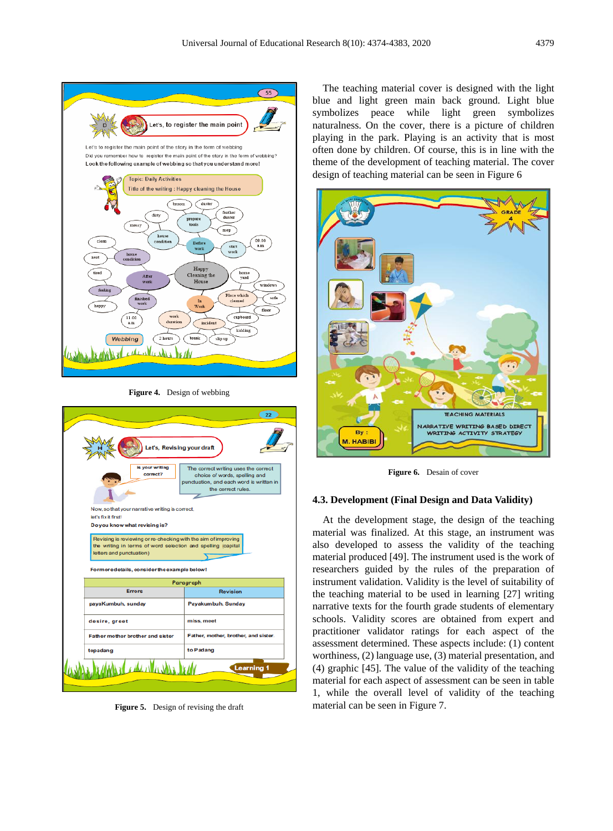

**Figure 4.** Design of webbing



**Figure 5.** Design of revising the draft

The teaching material cover is designed with the light blue and light green main back ground. Light blue symbolizes peace while light green symbolizes naturalness. On the cover, there is a picture of children playing in the park. Playing is an activity that is most often done by children. Of course, this is in line with the theme of the development of teaching material. The cover design of teaching material can be seen in Figure 6



**Figure 6.** Desain of cover

### **4.3. Development (Final Design and Data Validity)**

At the development stage, the design of the teaching material was finalized. At this stage, an instrument was also developed to assess the validity of the teaching material produced [49]. The instrument used is the work of researchers guided by the rules of the preparation of instrument validation. Validity is the level of suitability of the teaching material to be used in learning [27] writing narrative texts for the fourth grade students of elementary schools. Validity scores are obtained from expert and practitioner validator ratings for each aspect of the assessment determined. These aspects include: (1) content worthiness, (2) language use, (3) material presentation, and (4) graphic [45]. The value of the validity of the teaching material for each aspect of assessment can be seen in table 1, while the overall level of validity of the teaching material can be seen in Figure 7.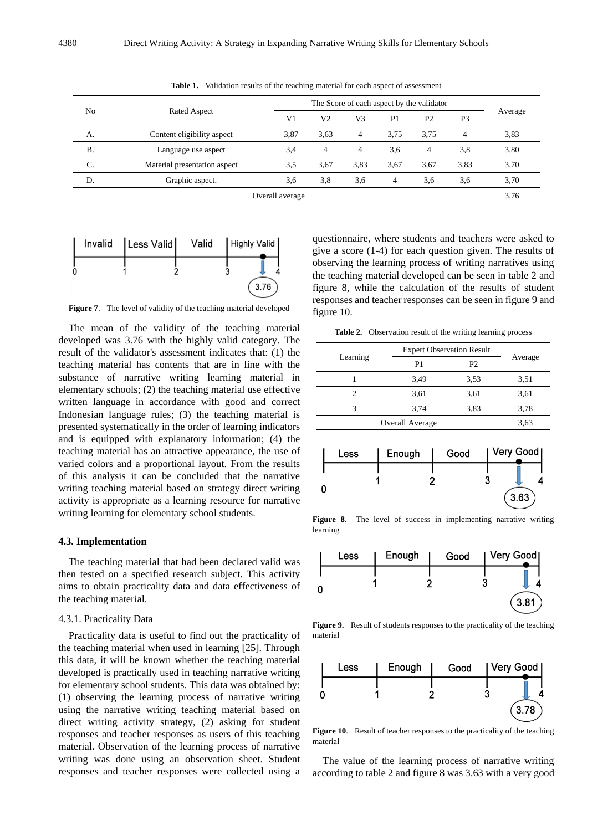| N <sub>0</sub>  |                              |                |                |                |                |                |                |         |
|-----------------|------------------------------|----------------|----------------|----------------|----------------|----------------|----------------|---------|
|                 | Rated Aspect                 | V <sub>1</sub> | V2             | V3             | P <sub>1</sub> | P <sub>2</sub> | P <sub>3</sub> | Average |
| А.              | Content eligibility aspect   | 3,87           | 3.63           | $\overline{4}$ | 3.75           | 3.75           | 4              | 3,83    |
| <b>B.</b>       | Language use aspect          | 3,4            | $\overline{4}$ | $\overline{4}$ | 3.6            | $\overline{4}$ | 3,8            | 3,80    |
| C.              | Material presentation aspect | 3.5            | 3,67           | 3,83           | 3,67           | 3.67           | 3,83           | 3,70    |
| D.              | Graphic aspect.              | 3,6            | 3,8            | 3,6            | 4              | 3,6            | 3,6            | 3,70    |
| Overall average |                              |                |                |                |                |                |                | 3,76    |

**Table 1.** Validation results of the teaching material for each aspect of assessment



**Figure 7**. The level of validity of the teaching material developed

The mean of the validity of the teaching material developed was 3.76 with the highly valid category. The result of the validator's assessment indicates that: (1) the teaching material has contents that are in line with the substance of narrative writing learning material in elementary schools; (2) the teaching material use effective written language in accordance with good and correct Indonesian language rules; (3) the teaching material is presented systematically in the order of learning indicators and is equipped with explanatory information; (4) the teaching material has an attractive appearance, the use of varied colors and a proportional layout. From the results of this analysis it can be concluded that the narrative writing teaching material based on strategy direct writing activity is appropriate as a learning resource for narrative writing learning for elementary school students.

#### **4.3. Implementation**

The teaching material that had been declared valid was then tested on a specified research subject. This activity aims to obtain practicality data and data effectiveness of the teaching material.

#### 4.3.1. Practicality Data

Practicality data is useful to find out the practicality of the teaching material when used in learning [25]. Through this data, it will be known whether the teaching material developed is practically used in teaching narrative writing for elementary school students. This data was obtained by: (1) observing the learning process of narrative writing using the narrative writing teaching material based on direct writing activity strategy, (2) asking for student responses and teacher responses as users of this teaching material. Observation of the learning process of narrative writing was done using an observation sheet. Student responses and teacher responses were collected using a

questionnaire, where students and teachers were asked to give a score (1-4) for each question given. The results of observing the learning process of writing narratives using the teaching material developed can be seen in table 2 and figure 8, while the calculation of the results of student responses and teacher responses can be seen in figure 9 and figure 10.

**Table 2.** Observation result of the writing learning process

|          | <b>Expert Observation Result</b> |                |         |  |
|----------|----------------------------------|----------------|---------|--|
| Learning | P1                               | P <sub>2</sub> | Average |  |
|          | 3,49                             | 3,53           | 3,51    |  |
| 2        | 3,61                             | 3,61           | 3,61    |  |
| 3        | 3.74                             | 3,83           | 3,78    |  |
|          | Overall Average                  |                | 3,63    |  |



**Figure 8**. The level of success in implementing narrative writing learning



**Figure 9.** Result of students responses to the practicality of the teaching material



**Figure 10**. Result of teacher responses to the practicality of the teaching material

The value of the learning process of narrative writing according to table 2 and figure 8 was 3.63 with a very good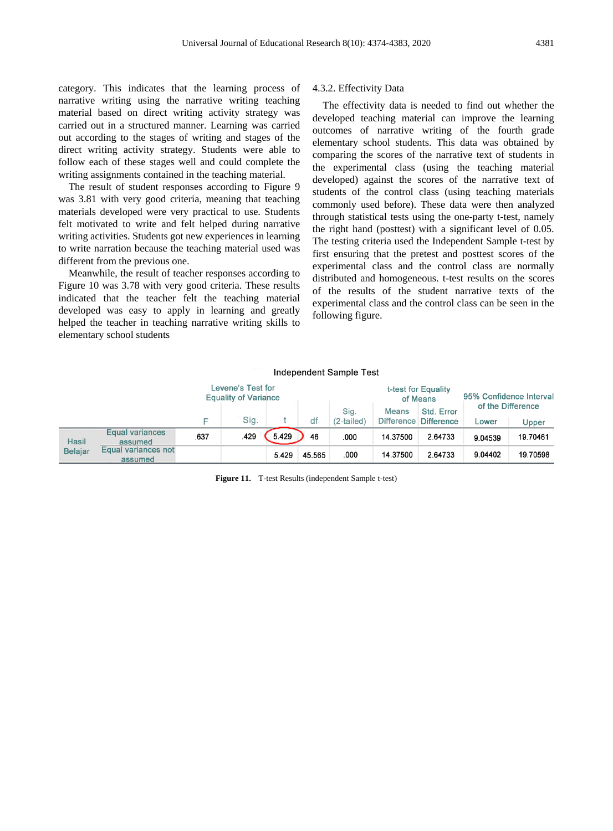category. This indicates that the learning process of narrative writing using the narrative writing teaching material based on direct writing activity strategy was carried out in a structured manner. Learning was carried out according to the stages of writing and stages of the direct writing activity strategy. Students were able to follow each of these stages well and could complete the writing assignments contained in the teaching material.

The result of student responses according to Figure 9 was 3.81 with very good criteria, meaning that teaching materials developed were very practical to use. Students felt motivated to write and felt helped during narrative writing activities. Students got new experiences in learning to write narration because the teaching material used was different from the previous one.

Meanwhile, the result of teacher responses according to Figure 10 was 3.78 with very good criteria. These results indicated that the teacher felt the teaching material developed was easy to apply in learning and greatly helped the teacher in teaching narrative writing skills to elementary school students

## 4.3.2. Effectivity Data

The effectivity data is needed to find out whether the developed teaching material can improve the learning outcomes of narrative writing of the fourth grade elementary school students. This data was obtained by comparing the scores of the narrative text of students in the experimental class (using the teaching material developed) against the scores of the narrative text of students of the control class (using teaching materials commonly used before). These data were then analyzed through statistical tests using the one-party t-test, namely the right hand (posttest) with a significant level of 0.05. The testing criteria used the Independent Sample t-test by first ensuring that the pretest and posttest scores of the experimental class and the control class are normally distributed and homogeneous. t-test results on the scores of the results of the student narrative texts of the experimental class and the control class can be seen in the following figure.

|                                |                                   | Independent Sample Test                          |      |       |                                 |                    |              |                                     |                            |          |
|--------------------------------|-----------------------------------|--------------------------------------------------|------|-------|---------------------------------|--------------------|--------------|-------------------------------------|----------------------------|----------|
|                                |                                   | Levene's Test for<br><b>Equality of Variance</b> |      |       | t-test for Equality<br>of Means |                    |              | 95% Confidence Interval             |                            |          |
|                                |                                   | F                                                | Sig. |       | df                              | Sig.<br>(2-tailed) | <b>Means</b> | Std. Error<br>Difference Difference | of the Difference<br>Lower | Upper    |
| <b>Hasil</b><br><b>Belajar</b> | <b>Equal variances</b><br>assumed | .637                                             | .429 | 5.429 | 46                              | .000               | 14.37500     | 2.64733                             | 9.04539                    | 19.70461 |
|                                | Equal variances not<br>assumed    |                                                  |      | 5.429 | 45.565                          | .000               | 14.37500     | 2.64733                             | 9.04402                    | 19.70598 |

**Figure 11.** T-test Results (independent Sample t-test)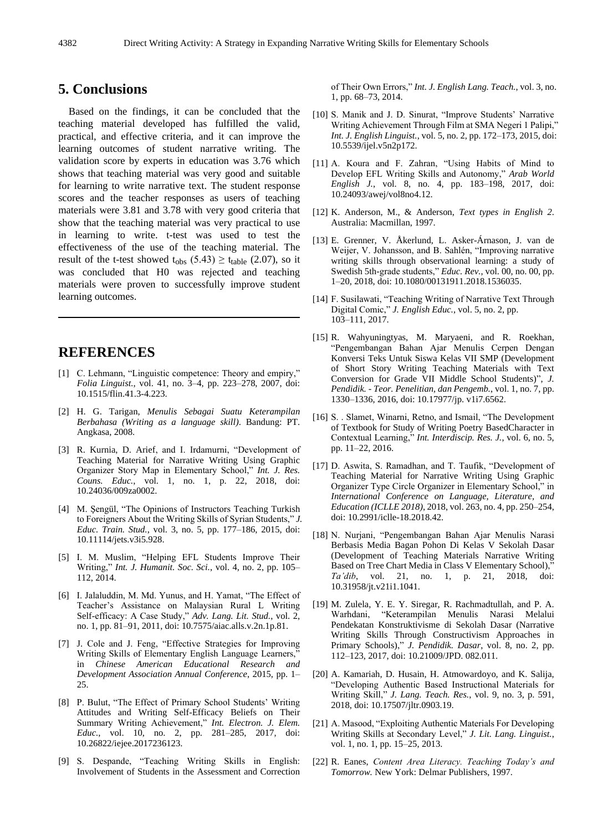## **5. Conclusions**

Based on the findings, it can be concluded that the teaching material developed has fulfilled the valid, practical, and effective criteria, and it can improve the learning outcomes of student narrative writing. The validation score by experts in education was 3.76 which shows that teaching material was very good and suitable for learning to write narrative text. The student response scores and the teacher responses as users of teaching materials were 3.81 and 3.78 with very good criteria that show that the teaching material was very practical to use in learning to write. t-test was used to test the effectiveness of the use of the teaching material. The result of the t-test showed t<sub>obs</sub>  $(5.43) \ge t_{table}$  (2.07), so it was concluded that H0 was rejected and teaching materials were proven to successfully improve student learning outcomes.

## **REFERENCES**

- [1] C. Lehmann, "Linguistic competence: Theory and empiry," *Folia Linguist.*, vol. 41, no. 3–4, pp. 223–278, 2007, doi: 10.1515/flin.41.3-4.223.
- [2] H. G. Tarigan, *Menulis Sebagai Suatu Keterampilan Berbahasa (Writing as a language skill)*. Bandung: PT. Angkasa, 2008.
- [3] R. Kurnia, D. Arief, and I. Irdamurni, "Development of Teaching Material for Narrative Writing Using Graphic Organizer Story Map in Elementary School," *Int. J. Res. Couns. Educ.*, vol. 1, no. 1, p. 22, 2018, doi: 10.24036/009za0002.
- [4] M. Şengül, "The Opinions of Instructors Teaching Turkish to Foreigners About the Writing Skills of Syrian Students," *J. Educ. Train. Stud.*, vol. 3, no. 5, pp. 177–186, 2015, doi: 10.11114/jets.v3i5.928.
- [5] I. M. Muslim, "Helping EFL Students Improve Their Writing," *Int. J. Humanit. Soc. Sci.*, vol. 4, no. 2, pp. 105– 112, 2014.
- [6] I. Jalaluddin, M. Md. Yunus, and H. Yamat, "The Effect of Teacher's Assistance on Malaysian Rural L Writing Self-efficacy: A Case Study," *Adv. Lang. Lit. Stud.*, vol. 2, no. 1, pp. 81–91, 2011, doi: 10.7575/aiac.alls.v.2n.1p.81.
- [7] J. Cole and J. Feng, "Effective Strategies for Improving Writing Skills of Elementary English Language Learners, in *Chinese American Educational Research and Development Association Annual Conference*, 2015, pp. 1– 25.
- [8] P. Bulut, "The Effect of Primary School Students' Writing Attitudes and Writing Self-Efficacy Beliefs on Their Summary Writing Achievement," *Int. Electron. J. Elem. Educ.*, vol. 10, no. 2, pp. 281–285, 2017, doi: 10.26822/iejee.2017236123.
- [9] S. Despande, "Teaching Writing Skills in English: Involvement of Students in the Assessment and Correction

of Their Own Errors," *Int. J. English Lang. Teach.*, vol. 3, no. 1, pp. 68–73, 2014.

- [10] S. Manik and J. D. Sinurat, "Improve Students' Narrative Writing Achievement Through Film at SMA Negeri 1 Palipi," *Int. J. English Linguist.*, vol. 5, no. 2, pp. 172–173, 2015, doi: 10.5539/ijel.v5n2p172.
- [11] A. Koura and F. Zahran, "Using Habits of Mind to Develop EFL Writing Skills and Autonomy," *Arab World English J.*, vol. 8, no. 4, pp. 183–198, 2017, doi: 10.24093/awej/vol8no4.12.
- [12] K. Anderson, M., & Anderson, *Text types in English 2*. Australia: Macmillan, 1997.
- [13] E. Grenner, V. Åkerlund, L. Asker-Árnason, J. van de Weijer, V. Johansson, and B. Sahlén, "Improving narrative writing skills through observational learning: a study of Swedish 5th-grade students," *Educ. Rev.*, vol. 00, no. 00, pp. 1–20, 2018, doi: 10.1080/00131911.2018.1536035.
- [14] F. Susilawati, "Teaching Writing of Narrative Text Through Digital Comic," *J. English Educ.*, vol. 5, no. 2, pp. 103–111, 2017.
- [15] R. Wahyuningtyas, M. Maryaeni, and R. Roekhan, "Pengembangan Bahan Ajar Menulis Cerpen Dengan Konversi Teks Untuk Siswa Kelas VII SMP (Development of Short Story Writing Teaching Materials with Text Conversion for Grade VII Middle School Students)", *J. Pendidik. - Teor. Penelitian, dan Pengemb.*, vol. 1, no. 7, pp. 1330–1336, 2016, doi: 10.17977/jp. v1i7.6562.
- [16] S. . Slamet, Winarni, Retno, and Ismail, "The Development of Textbook for Study of Writing Poetry BasedCharacter in Contextual Learning," *Int. Interdiscip. Res. J.*, vol. 6, no. 5, pp. 11–22, 2016.
- [17] D. Aswita, S. Ramadhan, and T. Taufik, "Development of Teaching Material for Narrative Writing Using Graphic Organizer Type Circle Organizer in Elementary School," in *International Conference on Language, Literature, and Education (ICLLE 2018)*, 2018, vol. 263, no. 4, pp. 250–254, doi: 10.2991/iclle-18.2018.42.
- [18] N. Nurjani, "Pengembangan Bahan Ajar Menulis Narasi Berbasis Media Bagan Pohon Di Kelas V Sekolah Dasar (Development of Teaching Materials Narrative Writing Based on Tree Chart Media in Class V Elementary School), *Ta'dib*, vol. 21, no. 1, p. 21, 2018, doi: 10.31958/jt.v21i1.1041.
- [19] M. Zulela, Y. E. Y. Siregar, R. Rachmadtullah, and P. A. Warhdani, "Keterampilan Menulis Narasi Melalui Pendekatan Konstruktivisme di Sekolah Dasar (Narrative Writing Skills Through Constructivism Approaches in Primary Schools)," *J. Pendidik. Dasar*, vol. 8, no. 2, pp. 112–123, 2017, doi: 10.21009/JPD. 082.011.
- [20] A. Kamariah, D. Husain, H. Atmowardoyo, and K. Salija, "Developing Authentic Based Instructional Materials for Writing Skill," *J. Lang. Teach. Res.*, vol. 9, no. 3, p. 591, 2018, doi: 10.17507/jltr.0903.19.
- [21] A. Masood, "Exploiting Authentic Materials For Developing Writing Skills at Secondary Level," *J. Lit. Lang. Linguist.*, vol. 1, no. 1, pp. 15–25, 2013.
- [22] R. Eanes, *Content Area Literacy. Teaching Today's and Tomorrow.* New York: Delmar Publishers, 1997.